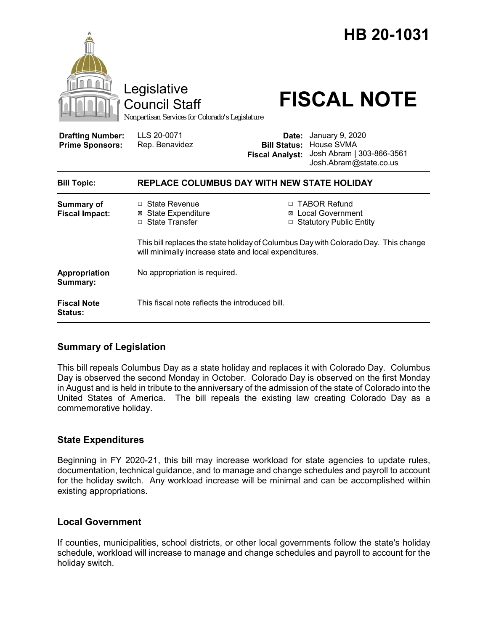|                                                   | Legislative<br>Council Staff<br>Nonpartisan Services for Colorado's Legislature                                                              | HB 20-1031<br><b>FISCAL NOTE</b>                                                                                                            |
|---------------------------------------------------|----------------------------------------------------------------------------------------------------------------------------------------------|---------------------------------------------------------------------------------------------------------------------------------------------|
| <b>Drafting Number:</b><br><b>Prime Sponsors:</b> | LLS 20-0071<br>Rep. Benavidez                                                                                                                | January 9, 2020<br>Date:<br><b>Bill Status: House SVMA</b><br>Josh Abram   303-866-3561<br><b>Fiscal Analyst:</b><br>Josh.Abram@state.co.us |
| <b>Bill Topic:</b>                                | REPLACE COLUMBUS DAY WITH NEW STATE HOLIDAY                                                                                                  |                                                                                                                                             |
| Summary of<br><b>Fiscal Impact:</b>               | $\Box$ State Revenue<br><b>State Expenditure</b><br>⊠<br>□ State Transfer                                                                    | □ TABOR Refund<br><b>Local Government</b><br>□ Statutory Public Entity                                                                      |
|                                                   | This bill replaces the state holiday of Columbus Day with Colorado Day. This change<br>will minimally increase state and local expenditures. |                                                                                                                                             |
| Appropriation<br>Summary:                         | No appropriation is required.                                                                                                                |                                                                                                                                             |
| <b>Fiscal Note</b><br><b>Status:</b>              | This fiscal note reflects the introduced bill.                                                                                               |                                                                                                                                             |

## **Summary of Legislation**

This bill repeals Columbus Day as a state holiday and replaces it with Colorado Day. Columbus Day is observed the second Monday in October. Colorado Day is observed on the first Monday in August and is held in tribute to the anniversary of the admission of the state of Colorado into the United States of America. The bill repeals the existing law creating Colorado Day as a commemorative holiday.

## **State Expenditures**

Beginning in FY 2020-21, this bill may increase workload for state agencies to update rules, documentation, technical guidance, and to manage and change schedules and payroll to account for the holiday switch. Any workload increase will be minimal and can be accomplished within existing appropriations.

## **Local Government**

If counties, municipalities, school districts, or other local governments follow the state's holiday schedule, workload will increase to manage and change schedules and payroll to account for the holiday switch.